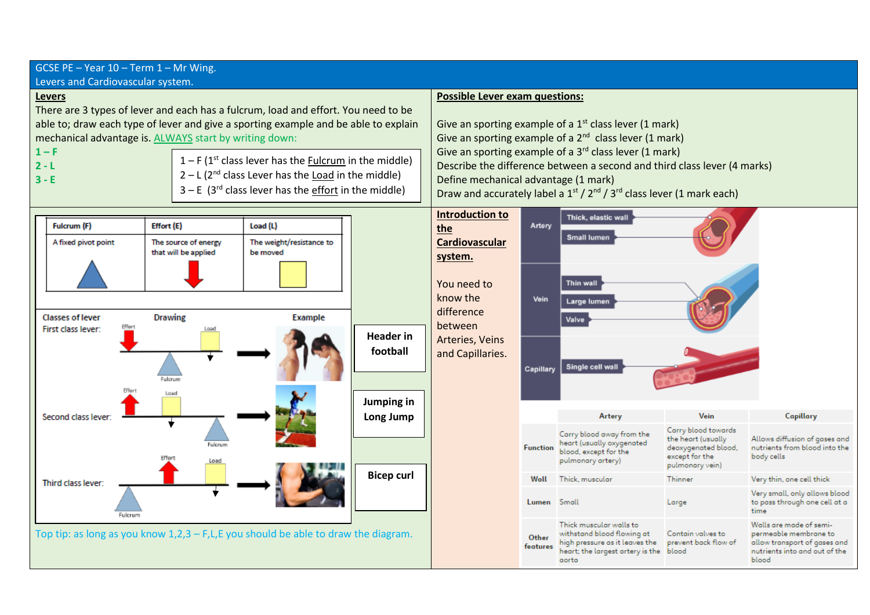